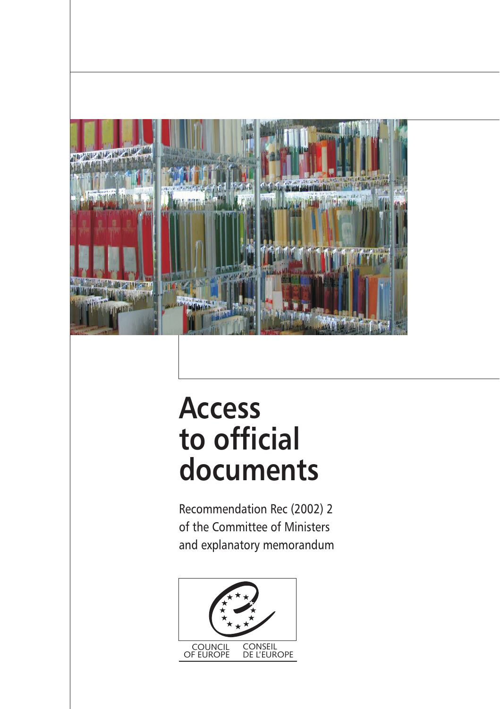

# **Access to official documents**

Recommendation Rec (2002) 2 of the Committee of Ministers and explanatory memorandum

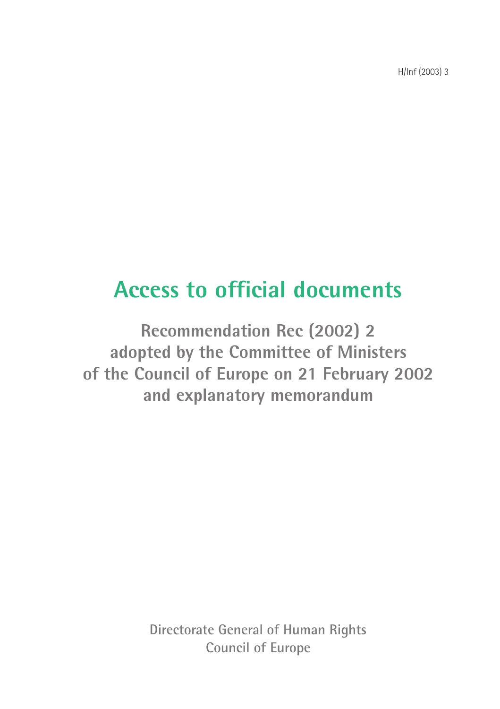H/Inf (2003) 3

# **Access to official documents**

**Recommendation Rec (2002) 2** adopted by the Committee of Ministers of the Council of Europe on 21 February 2002 and explanatory memorandum

> Directorate General of Human Rights Council of Europe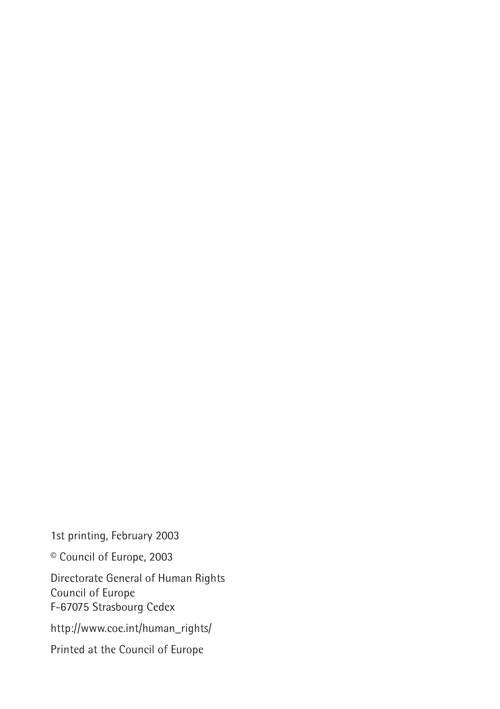1st printing, February 2003

<sup>©</sup> Council of Europe, 2003

Directorate General of Human Rights Council of Europe F-67075 Strasbourg Cedex

http://www.coe.int/human\_rights/

Printed at the Council of Europe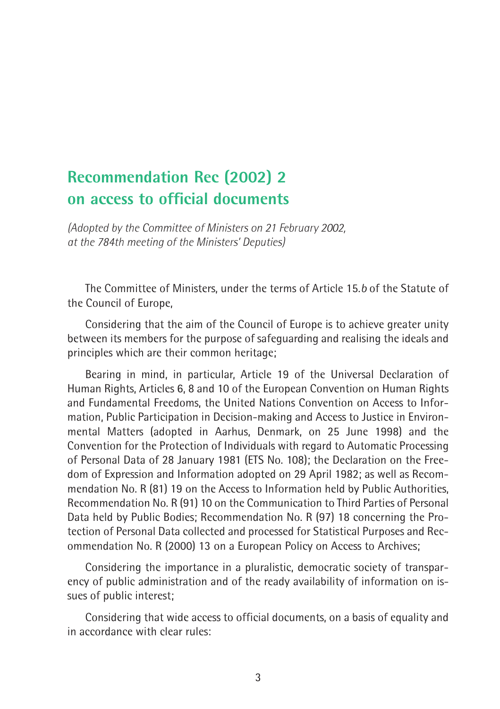### **Recommendation Rec (2002) 2** on access to official documents

(Adopted by the Committee of Ministers on 21 February 2002, at the 784th meeting of the Ministers' Deputies)

The Committee of Ministers, under the terms of Article 15.b of the Statute of the Council of Europe,

Considering that the aim of the Council of Europe is to achieve greater unity between its members for the purpose of safequarding and realising the ideals and principles which are their common heritage;

Bearing in mind, in particular, Article 19 of the Universal Declaration of Human Rights, Articles 6, 8 and 10 of the European Convention on Human Rights and Fundamental Freedoms, the United Nations Convention on Access to Information, Public Participation in Decision-making and Access to Justice in Environmental Matters (adopted in Aarhus, Denmark, on 25 June 1998) and the Convention for the Protection of Individuals with regard to Automatic Processing of Personal Data of 28 January 1981 (ETS No. 108); the Declaration on the Freedom of Expression and Information adopted on 29 April 1982; as well as Recommendation No. R (81) 19 on the Access to Information held by Public Authorities, Recommendation No. R (91) 10 on the Communication to Third Parties of Personal Data held by Public Bodies; Recommendation No. R (97) 18 concerning the Protection of Personal Data collected and processed for Statistical Purposes and Recommendation No. R (2000) 13 on a European Policy on Access to Archives;

Considering the importance in a pluralistic, democratic society of transparency of public administration and of the ready availability of information on issues of public interest;

Considering that wide access to official documents, on a basis of equality and in accordance with clear rules: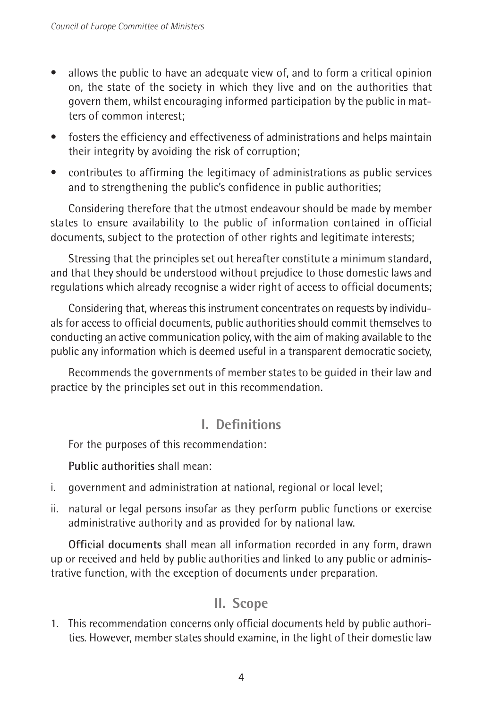- allows the public to have an adequate view of, and to form a critical opinion  $\bullet$ on, the state of the society in which they live and on the authorities that govern them, whilst encouraging informed participation by the public in matters of common interest:
- fosters the efficiency and effectiveness of administrations and helps maintain their integrity by avoiding the risk of corruption;
- contributes to affirming the legitimacy of administrations as public services and to strengthening the public's confidence in public authorities;

Considering therefore that the utmost endeavour should be made by member states to ensure availability to the public of information contained in official documents, subject to the protection of other rights and legitimate interests;

Stressing that the principles set out hereafter constitute a minimum standard, and that they should be understood without prejudice to those domestic laws and requlations which already recognise a wider right of access to official documents;

Considering that, whereas this instrument concentrates on requests by individuals for access to official documents, public authorities should commit themselves to conducting an active communication policy, with the aim of making available to the public any information which is deemed useful in a transparent democratic society,

Recommends the governments of member states to be quided in their law and practice by the principles set out in this recommendation.

#### I. Definitions

For the purposes of this recommendation:

Public authorities shall mean:

- i. government and administration at national, regional or local level;
- ii. natural or legal persons insofar as they perform public functions or exercise administrative authority and as provided for by national law.

Official documents shall mean all information recorded in any form, drawn up or received and held by public authorities and linked to any public or administrative function, with the exception of documents under preparation.

#### II. Scope

1. This recommendation concerns only official documents held by public authorities. However, member states should examine, in the light of their domestic law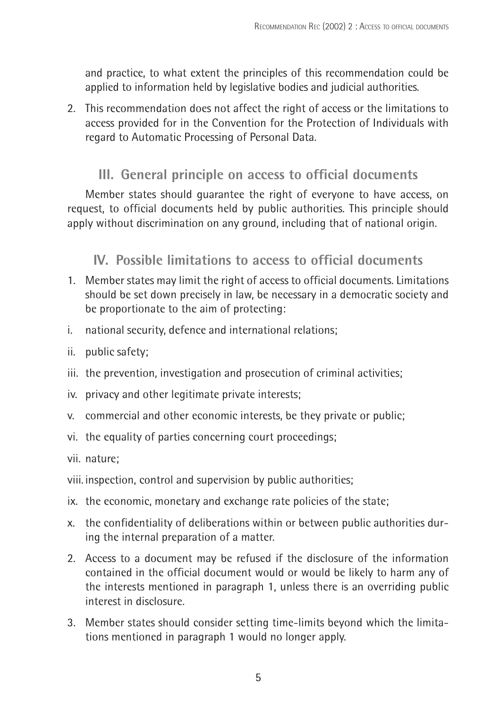and practice, to what extent the principles of this recommendation could be applied to information held by legislative bodies and judicial authorities.

2. This recommendation does not affect the right of access or the limitations to access provided for in the Convention for the Protection of Individuals with regard to Automatic Processing of Personal Data.

#### III. General principle on access to official documents

Member states should quarantee the right of everyone to have access, on request, to official documents held by public authorities. This principle should apply without discrimination on any ground, including that of national origin.

#### IV. Possible limitations to access to official documents

- 1. Member states may limit the right of access to official documents. Limitations should be set down precisely in law, be necessary in a democratic society and be proportionate to the aim of protecting:
- national security, defence and international relations; i.
- ii. public safety:
- iii. the prevention, investigation and prosecution of criminal activities;
- iv. privacy and other legitimate private interests;
- v. commercial and other economic interests, be they private or public;
- vi. the equality of parties concerning court proceedings;

vii. nature:

- viii. inspection, control and supervision by public authorities;
- ix. the economic, monetary and exchange rate policies of the state;
- x. the confidentiality of deliberations within or between public authorities during the internal preparation of a matter.
- 2. Access to a document may be refused if the disclosure of the information contained in the official document would or would be likely to harm any of the interests mentioned in paragraph 1, unless there is an overriding public interest in disclosure
- 3. Member states should consider setting time-limits beyond which the limitations mentioned in paragraph 1 would no longer apply.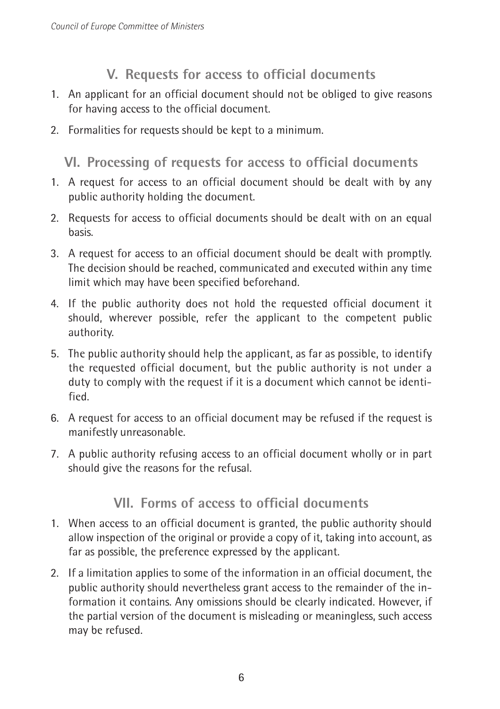#### V. Requests for access to official documents

- 1. An applicant for an official document should not be obliged to give reasons for having access to the official document.
- 2. Formalities for requests should be kept to a minimum.

#### VI. Processing of requests for access to official documents

- 1. A request for access to an official document should be dealt with by any public authority holding the document.
- 2. Requests for access to official documents should be dealt with on an equal hasis.
- 3. A request for access to an official document should be dealt with promptly. The decision should be reached, communicated and executed within any time limit which may have been specified beforehand.
- 4. If the public authority does not hold the requested official document it should, wherever possible, refer the applicant to the competent public authority.
- 5. The public authority should help the applicant, as far as possible, to identify the requested official document, but the public authority is not under a duty to comply with the request if it is a document which cannot be identified
- 6. A request for access to an official document may be refused if the request is manifestly unreasonable.
- 7. A public authority refusing access to an official document wholly or in part should give the reasons for the refusal.

#### VII. Forms of access to official documents

- 1. When access to an official document is granted, the public authority should allow inspection of the original or provide a copy of it, taking into account, as far as possible, the preference expressed by the applicant.
- 2. If a limitation applies to some of the information in an official document, the public authority should nevertheless grant access to the remainder of the information it contains. Any omissions should be clearly indicated. However, if the partial version of the document is misleading or meaningless, such access may be refused.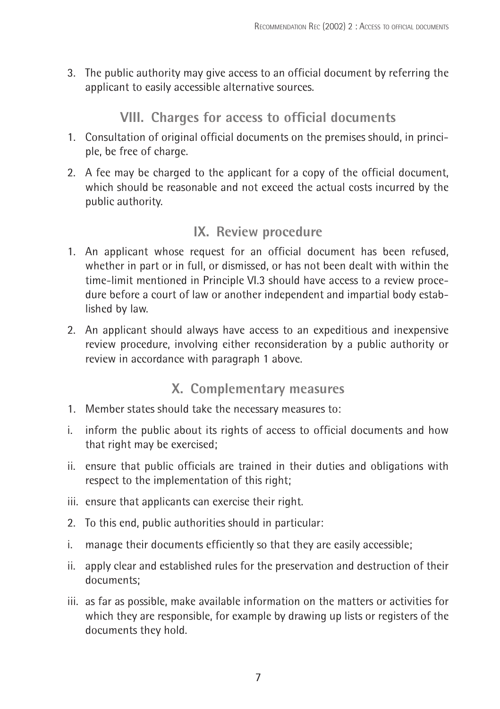3. The public authority may give access to an official document by referring the applicant to easily accessible alternative sources.

#### VIII. Charges for access to official documents

- 1. Consultation of original official documents on the premises should, in principle, be free of charge.
- 2. A fee may be charged to the applicant for a copy of the official document, which should be reasonable and not exceed the actual costs incurred by the public authority.

#### IX. Review procedure

- 1. An applicant whose request for an official document has been refused, whether in part or in full, or dismissed, or has not been dealt with within the time-limit mentioned in Principle VI.3 should have access to a review procedure before a court of law or another independent and impartial body established by law.
- 2. An applicant should always have access to an expeditious and inexpensive review procedure, involving either reconsideration by a public authority or review in accordance with paragraph 1 above.

#### X. Complementary measures

- 1. Member states should take the necessary measures to:
- i. inform the public about its rights of access to official documents and how that right may be exercised;
- ii. ensure that public officials are trained in their duties and obligations with respect to the implementation of this right;
- iii. ensure that applicants can exercise their right.
- 2. To this end, public authorities should in particular:
- manage their documents efficiently so that they are easily accessible; i. I
- ii. apply clear and established rules for the preservation and destruction of their documents:
- iii. as far as possible, make available information on the matters or activities for which they are responsible, for example by drawing up lists or registers of the documents they hold.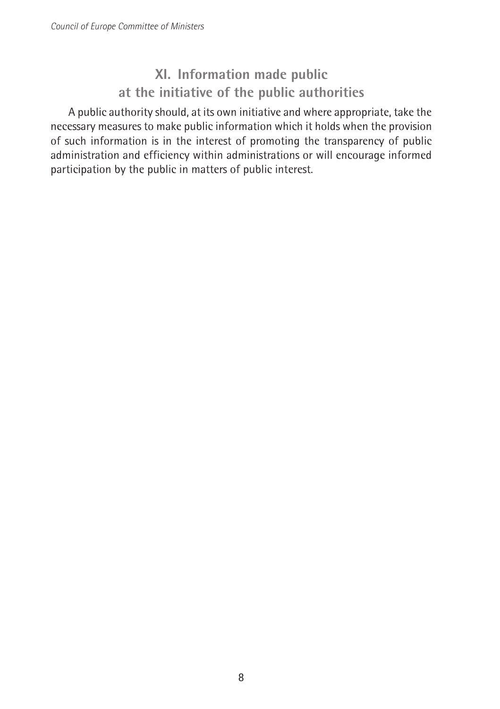#### XI. Information made public at the initiative of the public authorities

A public authority should, at its own initiative and where appropriate, take the necessary measures to make public information which it holds when the provision of such information is in the interest of promoting the transparency of public administration and efficiency within administrations or will encourage informed participation by the public in matters of public interest.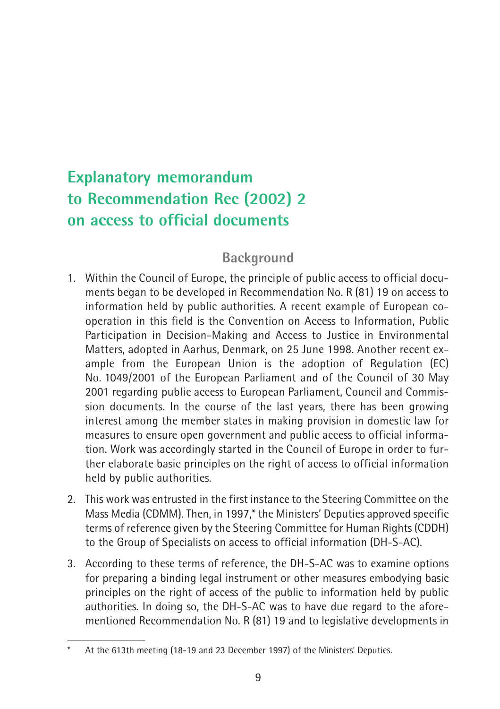## **Explanatory memorandum** to Recommendation Rec (2002) 2 on access to official documents

#### **Background**

- 1. Within the Council of Europe, the principle of public access to official documents began to be developed in Recommendation No. R (81) 19 on access to information held by public authorities. A recent example of European cooperation in this field is the Convention on Access to Information, Public Participation in Decision-Making and Access to Justice in Environmental Matters. adopted in Aarhus. Denmark, on 25 June 1998. Another recent example from the European Union is the adoption of Regulation (EC) No. 1049/2001 of the European Parliament and of the Council of 30 May 2001 regarding public access to European Parliament, Council and Commission documents. In the course of the last years, there has been growing interest among the member states in making provision in domestic law for measures to ensure open government and public access to official information. Work was accordingly started in the Council of Europe in order to further elaborate basic principles on the right of access to official information held by public authorities.
- 2. This work was entrusted in the first instance to the Steering Committee on the Mass Media (CDMM). Then, in 1997,\* the Ministers' Deputies approved specific terms of reference given by the Steering Committee for Human Rights (CDDH) to the Group of Specialists on access to official information (DH-S-AC).
- 3. According to these terms of reference, the DH-S-AC was to examine options for preparing a binding legal instrument or other measures embodying basic principles on the right of access of the public to information held by public authorities. In doing so, the DH-S-AC was to have due regard to the aforementioned Recommendation No. R (81) 19 and to legislative developments in

At the 613th meeting (18-19 and 23 December 1997) of the Ministers' Deputies.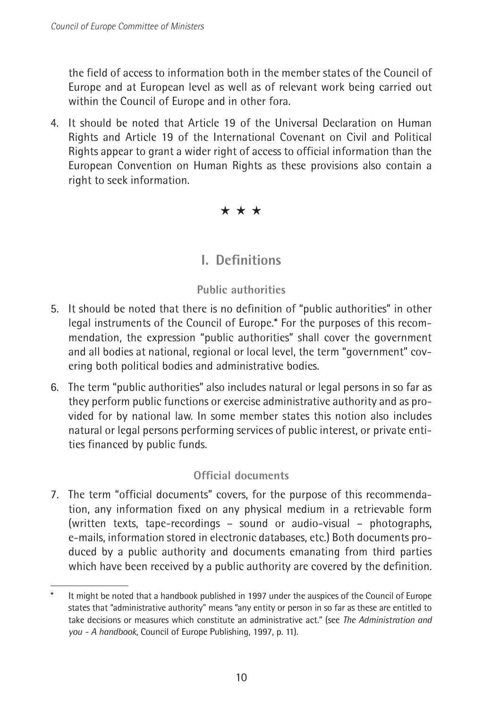the field of access to information both in the member states of the Council of Europe and at European level as well as of relevant work being carried out within the Council of Europe and in other fora.

4. It should be noted that Article 19 of the Universal Declaration on Human Rights and Article 19 of the International Covenant on Civil and Political Rights appear to grant a wider right of access to official information than the European Convention on Human Rights as these provisions also contain a right to seek information.

 $\star \star \star$ 

#### **L.** Definitions

#### **Public authorities**

- 5. It should be noted that there is no definition of "public authorities" in other legal instruments of the Council of Europe.\* For the purposes of this recommendation, the expression "public authorities" shall cover the government and all bodies at national, regional or local level, the term "government" covering both political bodies and administrative bodies.
- 6. The term "public authorities" also includes natural or legal persons in so far as they perform public functions or exercise administrative authority and as provided for by national law. In some member states this notion also includes natural or legal persons performing services of public interest, or private entities financed by public funds.

#### Official documents

7. The term "official documents" covers, for the purpose of this recommendation, any information fixed on any physical medium in a retrievable form (written texts, tape-recordings - sound or audio-visual - photographs, e-mails, information stored in electronic databases, etc.) Both documents produced by a public authority and documents emanating from third parties which have been received by a public authority are covered by the definition.

It might be noted that a handbook published in 1997 under the auspices of the Council of Europe states that "administrative authority" means "any entity or person in so far as these are entitled to take decisions or measures which constitute an administrative act." (see The Administration and you - A handbook, Council of Europe Publishing, 1997, p. 11).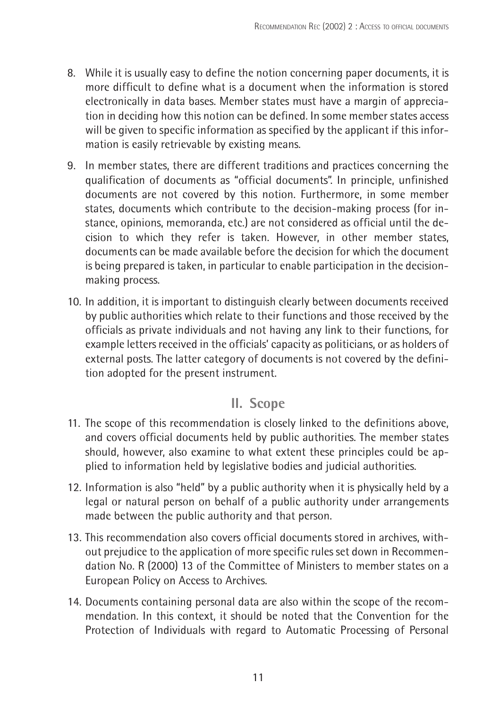- 8. While it is usually easy to define the notion concerning paper documents, it is more difficult to define what is a document when the information is stored electronically in data bases. Member states must have a margin of appreciation in deciding how this notion can be defined. In some member states access will be given to specific information as specified by the applicant if this information is easily retrievable by existing means.
- 9. In member states, there are different traditions and practices concerning the qualification of documents as "official documents". In principle, unfinished documents are not covered by this notion. Furthermore, in some member states, documents which contribute to the decision-making process (for instance, opinions, memoranda, etc.) are not considered as official until the decision to which they refer is taken. However, in other member states, documents can be made available before the decision for which the document is being prepared is taken, in particular to enable participation in the decisionmaking process.
- 10. In addition, it is important to distinguish clearly between documents received by public authorities which relate to their functions and those received by the officials as private individuals and not having any link to their functions, for example letters received in the officials' capacity as politicians, or as holders of external posts. The latter category of documents is not covered by the definition adopted for the present instrument.

#### II. Scope

- 11. The scope of this recommendation is closely linked to the definitions above, and covers official documents held by public authorities. The member states should, however, also examine to what extent these principles could be applied to information held by legislative bodies and judicial authorities.
- 12. Information is also "held" by a public authority when it is physically held by a legal or natural person on behalf of a public authority under arrangements made between the public authority and that person.
- 13. This recommendation also covers official documents stored in archives, without prejudice to the application of more specific rules set down in Recommendation No. R (2000) 13 of the Committee of Ministers to member states on a European Policy on Access to Archives.
- 14. Documents containing personal data are also within the scope of the recommendation. In this context, it should be noted that the Convention for the Protection of Individuals with regard to Automatic Processing of Personal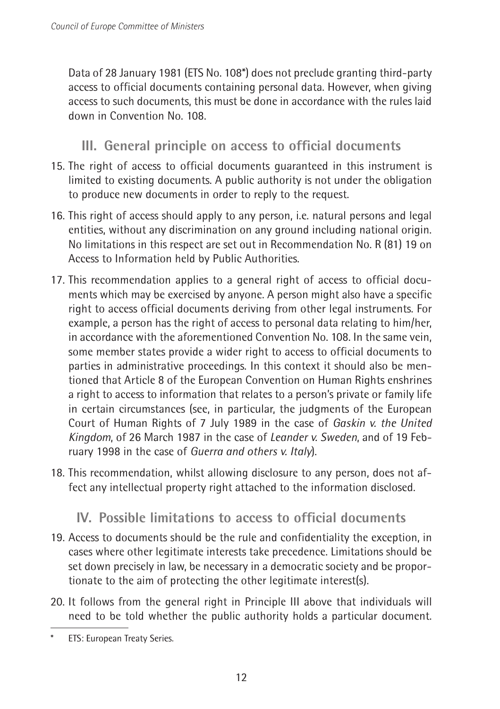Data of 28 January 1981 (ETS No. 108\*) does not preclude granting third-party access to official documents containing personal data. However, when giving access to such documents, this must be done in accordance with the rules laid down in Convention No. 108

III. General principle on access to official documents

- 15. The right of access to official documents quaranteed in this instrument is limited to existing documents. A public authority is not under the obligation to produce new documents in order to reply to the request.
- 16. This right of access should apply to any person, i.e. natural persons and legal entities, without any discrimination on any ground including national origin. No limitations in this respect are set out in Recommendation No. R (81) 19 on Access to Information held by Public Authorities.
- 17. This recommendation applies to a general right of access to official documents which may be exercised by anyone. A person might also have a specific right to access official documents deriving from other legal instruments. For example, a person has the right of access to personal data relating to him/her. in accordance with the aforementioned Convention No. 108. In the same vein, some member states provide a wider right to access to official documents to parties in administrative proceedings. In this context it should also be mentioned that Article 8 of the European Convention on Human Rights enshrines a right to access to information that relates to a person's private or family life in certain circumstances (see, in particular, the judgments of the European Court of Human Rights of 7 July 1989 in the case of Gaskin v. the United Kingdom, of 26 March 1987 in the case of Leander v. Sweden, and of 19 February 1998 in the case of Guerra and others v. Italy).
- 18. This recommendation, whilst allowing disclosure to any person, does not affect any intellectual property right attached to the information disclosed.

#### IV. Possible limitations to access to official documents

- 19. Access to documents should be the rule and confidentiality the exception, in cases where other legitimate interests take precedence. Limitations should be set down precisely in law, be necessary in a democratic society and be proportionate to the aim of protecting the other legitimate interest(s).
- 20. It follows from the general right in Principle III above that individuals will need to be told whether the public authority holds a particular document.

ETS: European Treaty Series.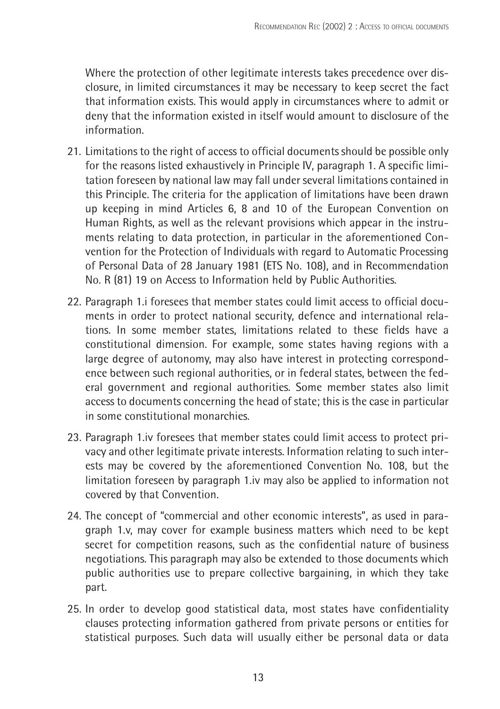Where the protection of other legitimate interests takes precedence over disclosure, in limited circumstances it may be necessary to keep secret the fact that information exists. This would apply in circumstances where to admit or deny that the information existed in itself would amount to disclosure of the information

- 21. Limitations to the right of access to official documents should be possible only for the reasons listed exhaustively in Principle IV, paragraph 1. A specific limitation foreseen by national law may fall under several limitations contained in this Principle. The criteria for the application of limitations have been drawn up keeping in mind Articles 6, 8 and 10 of the European Convention on Human Rights, as well as the relevant provisions which appear in the instruments relating to data protection, in particular in the aforementioned Convention for the Protection of Individuals with regard to Automatic Processing of Personal Data of 28 January 1981 (ETS No. 108), and in Recommendation No. R (81) 19 on Access to Information held by Public Authorities.
- 22. Paragraph 1.i foresees that member states could limit access to official documents in order to protect national security, defence and international relations. In some member states, limitations related to these fields have a constitutional dimension. For example, some states having regions with a large degree of autonomy, may also have interest in protecting correspondence between such regional authorities, or in federal states, between the federal government and regional authorities. Some member states also limit access to documents concerning the head of state; this is the case in particular in some constitutional monarchies
- 23. Paragraph 1.iv foresees that member states could limit access to protect privacy and other legitimate private interests. Information relating to such interests may be covered by the aforementioned Convention No. 108, but the limitation foreseen by paragraph 1.iv may also be applied to information not covered by that Convention.
- 24. The concept of "commercial and other economic interests", as used in paragraph 1.v, may cover for example business matters which need to be kept secret for competition reasons, such as the confidential nature of business negotiations. This paragraph may also be extended to those documents which public authorities use to prepare collective bargaining, in which they take part.
- 25. In order to develop good statistical data, most states have confidentiality clauses protecting information gathered from private persons or entities for statistical purposes. Such data will usually either be personal data or data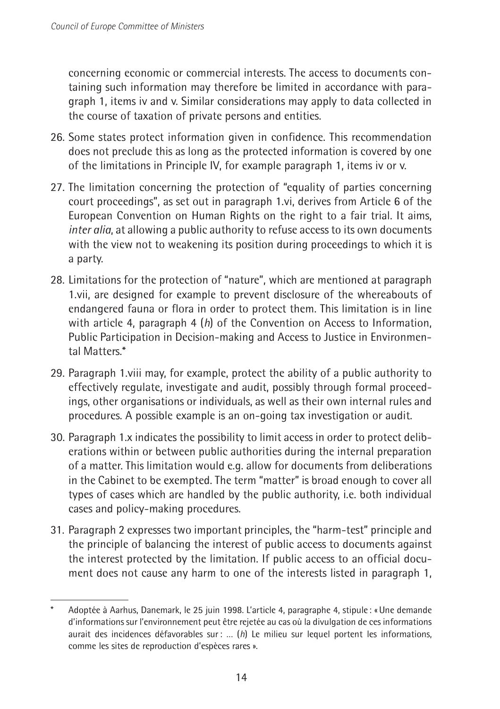concerning economic or commercial interests. The access to documents containing such information may therefore be limited in accordance with paragraph 1, items iv and v. Similar considerations may apply to data collected in the course of taxation of private persons and entities.

- 26. Some states protect information given in confidence. This recommendation does not preclude this as long as the protected information is covered by one of the limitations in Principle IV, for example paragraph 1, items iv or v.
- 27. The limitation concerning the protection of "equality of parties concerning court proceedings", as set out in paragraph 1.vi, derives from Article 6 of the European Convention on Human Rights on the right to a fair trial. It aims, inter alia, at allowing a public authority to refuse access to its own documents with the view not to weakening its position during proceedings to which it is a party.
- 28. Limitations for the protection of "nature", which are mentioned at paragraph 1. vii, are designed for example to prevent disclosure of the whereabouts of endangered fauna or flora in order to protect them. This limitation is in line with article 4, paragraph 4  $(h)$  of the Convention on Access to Information, Public Participation in Decision-making and Access to Justice in Environmental Matters.\*
- 29. Paragraph 1. viii may, for example, protect the ability of a public authority to effectively regulate, investigate and audit, possibly through formal proceedings, other organisations or individuals, as well as their own internal rules and procedures. A possible example is an on-going tax investigation or audit.
- 30. Paragraph 1.x indicates the possibility to limit access in order to protect deliberations within or between public authorities during the internal preparation of a matter. This limitation would e.g. allow for documents from deliberations in the Cabinet to be exempted. The term "matter" is broad enough to cover all types of cases which are handled by the public authority, i.e. both individual cases and policy-making procedures.
- 31. Paragraph 2 expresses two important principles, the "harm-test" principle and the principle of balancing the interest of public access to documents against the interest protected by the limitation. If public access to an official document does not cause any harm to one of the interests listed in paragraph 1,

Adoptée à Aarhus, Danemark, le 25 juin 1998. L'article 4, paragraphe 4, stipule : « Une demande d'informations sur l'environnement peut être rejetée au cas où la divulgation de ces informations aurait des incidences défavorables sur : ...  $(h)$  Le milieu sur lequel portent les informations, comme les sites de reproduction d'espèces rares ».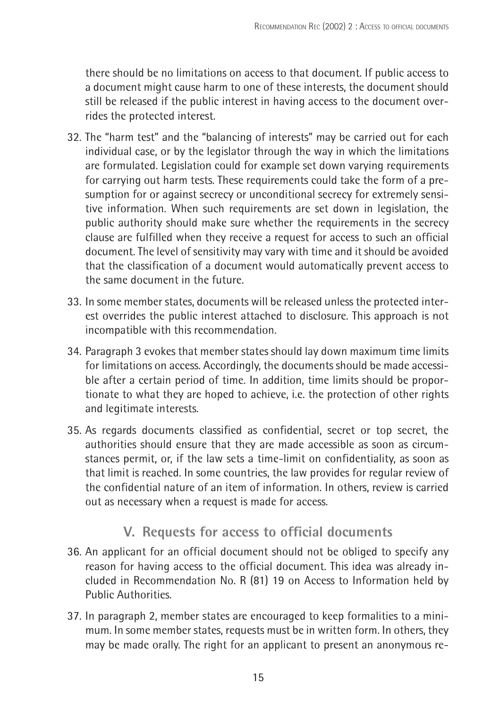there should be no limitations on access to that document. If public access to a document might cause harm to one of these interests, the document should still be released if the public interest in having access to the document overrides the protected interest.

- 32. The "harm test" and the "balancing of interests" may be carried out for each individual case, or by the legislator through the way in which the limitations are formulated. Legislation could for example set down varying reguirements for carrying out harm tests. These requirements could take the form of a presumption for or against secrecy or unconditional secrecy for extremely sensitive information. When such requirements are set down in legislation, the public authority should make sure whether the requirements in the secrecy clause are fulfilled when they receive a request for access to such an official document. The level of sensitivity may vary with time and it should be avoided that the classification of a document would automatically prevent access to the same document in the future
- 33. In some member states, documents will be released unless the protected interest overrides the public interest attached to disclosure. This approach is not incompatible with this recommendation.
- 34. Paragraph 3 evokes that member states should lay down maximum time limits for limitations on access. Accordingly, the documents should be made accessible after a certain period of time. In addition, time limits should be proportionate to what they are hoped to achieve, i.e. the protection of other rights and legitimate interests.
- 35. As regards documents classified as confidential, secret or top secret, the authorities should ensure that they are made accessible as soon as circumstances permit, or, if the law sets a time-limit on confidentiality, as soon as that limit is reached. In some countries, the law provides for regular review of the confidential nature of an item of information. In others, review is carried out as necessary when a request is made for access.

#### V. Requests for access to official documents

- 36. An applicant for an official document should not be obliged to specify any reason for having access to the official document. This idea was already included in Recommendation No. R (81) 19 on Access to Information held by Public Authorities.
- 37. In paragraph 2, member states are encouraged to keep formalities to a minimum. In some member states, requests must be in written form. In others, they may be made orally. The right for an applicant to present an anonymous re-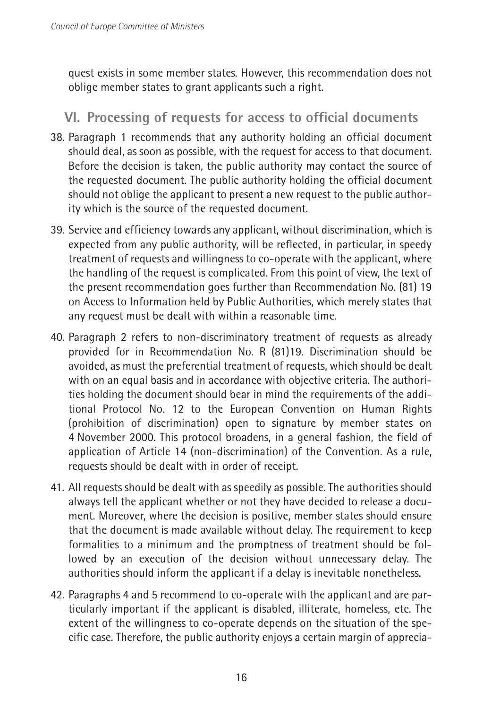quest exists in some member states. However, this recommendation does not oblige member states to grant applicants such a right.

#### VI. Processing of requests for access to official documents

- 38. Paragraph 1 recommends that any authority holding an official document should deal, as soon as possible, with the request for access to that document. Before the decision is taken, the public authority may contact the source of the requested document. The public authority holding the official document should not oblige the applicant to present a new request to the public authority which is the source of the requested document.
- 39. Service and efficiency towards any applicant, without discrimination, which is expected from any public authority, will be reflected, in particular, in speedy treatment of requests and willingness to co-operate with the applicant, where the handling of the request is complicated. From this point of view, the text of the present recommendation goes further than Recommendation No. (81) 19 on Access to Information held by Public Authorities, which merely states that any request must be dealt with within a reasonable time.
- 40. Paragraph 2 refers to non-discriminatory treatment of requests as already provided for in Recommendation No. R (81)19. Discrimination should be avoided, as must the preferential treatment of requests, which should be dealt with on an equal basis and in accordance with objective criteria. The authorities holding the document should bear in mind the requirements of the additional Protocol No. 12 to the European Convention on Human Rights (prohibition of discrimination) open to signature by member states on 4 November 2000. This protocol broadens, in a general fashion, the field of application of Article 14 (non-discrimination) of the Convention. As a rule, requests should be dealt with in order of receipt.
- 41. All requests should be dealt with as speedily as possible. The authorities should always tell the applicant whether or not they have decided to release a document. Moreover, where the decision is positive, member states should ensure that the document is made available without delay. The requirement to keep formalities to a minimum and the promptness of treatment should be followed by an execution of the decision without unnecessary delay. The authorities should inform the applicant if a delay is inevitable nonetheless.
- 42. Paragraphs 4 and 5 recommend to co-operate with the applicant and are particularly important if the applicant is disabled, illiterate, homeless, etc. The extent of the willingness to co-operate depends on the situation of the specific case. Therefore, the public authority enjoys a certain margin of apprecia-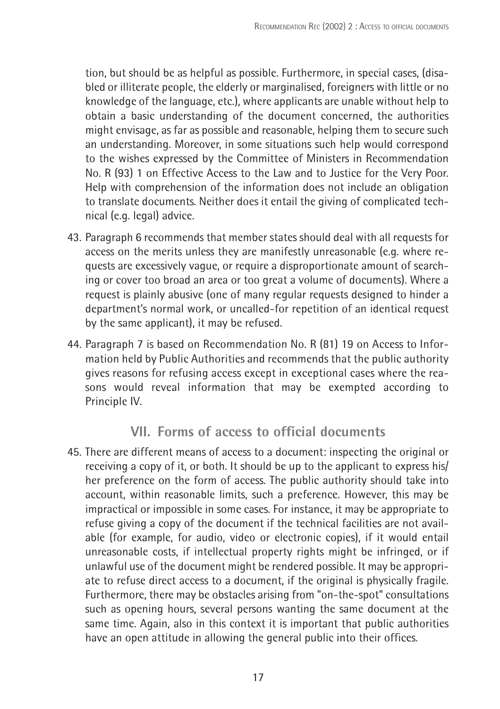tion, but should be as helpful as possible. Furthermore, in special cases, (disabled or illiterate people, the elderly or marginalised, foreigners with little or no knowledge of the language, etc.), where applicants are unable without help to obtain a basic understanding of the document concerned, the authorities might envisage, as far as possible and reasonable, helping them to secure such an understanding. Moreover, in some situations such help would correspond to the wishes expressed by the Committee of Ministers in Recommendation No. R (93) 1 on Effective Access to the Law and to Justice for the Very Poor. Help with comprehension of the information does not include an obligation to translate documents. Neither does it entail the giving of complicated technical (e.g. legal) advice.

- 43. Paragraph 6 recommends that member states should deal with all requests for access on the merits unless they are manifestly unreasonable (e.g. where requests are excessively vague, or require a disproportionate amount of searching or cover too broad an area or too great a volume of documents). Where a request is plainly abusive (one of many reqular requests designed to hinder a department's normal work, or uncalled-for repetition of an identical request by the same applicant), it may be refused.
- 44. Paragraph 7 is based on Recommendation No. R (81) 19 on Access to Information held by Public Authorities and recommends that the public authority gives reasons for refusing access except in exceptional cases where the reasons would reveal information that may be exempted according to Principle IV.

#### VII. Forms of access to official documents

45. There are different means of access to a document: inspecting the original or receiving a copy of it, or both. It should be up to the applicant to express his/ her preference on the form of access. The public authority should take into account, within reasonable limits, such a preference. However, this may be impractical or impossible in some cases. For instance, it may be appropriate to refuse giving a copy of the document if the technical facilities are not available (for example, for audio, video or electronic copies), if it would entail unreasonable costs, if intellectual property rights might be infringed, or if unlawful use of the document might be rendered possible. It may be appropriate to refuse direct access to a document, if the original is physically fragile. Furthermore, there may be obstacles arising from "on-the-spot" consultations such as opening hours, several persons wanting the same document at the same time. Again, also in this context it is important that public authorities have an open attitude in allowing the general public into their offices.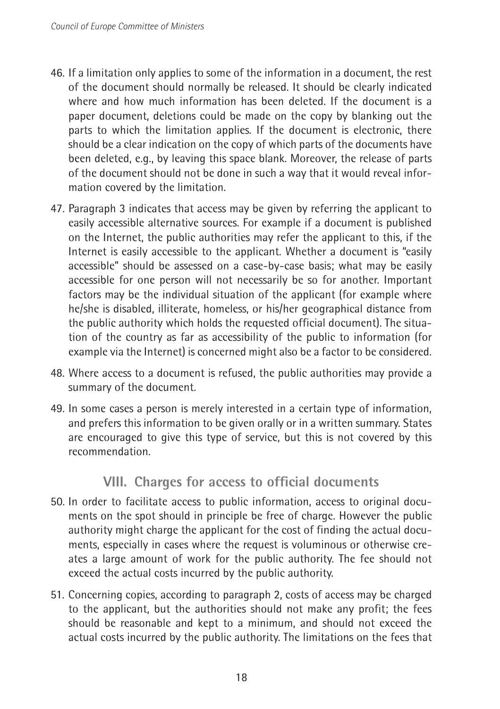- 46. If a limitation only applies to some of the information in a document, the rest of the document should normally be released. It should be clearly indicated where and how much information has been deleted. If the document is a paper document, deletions could be made on the copy by blanking out the parts to which the limitation applies. If the document is electronic, there should be a clear indication on the copy of which parts of the documents have been deleted, e.g., by leaving this space blank. Moreover, the release of parts of the document should not be done in such a way that it would reveal information covered by the limitation.
- 47. Paragraph 3 indicates that access may be given by referring the applicant to easily accessible alternative sources. For example if a document is published on the Internet, the public authorities may refer the applicant to this, if the Internet is easily accessible to the applicant. Whether a document is "easily accessible" should be assessed on a case-by-case basis; what may be easily accessible for one person will not necessarily be so for another. Important factors may be the individual situation of the applicant (for example where he/she is disabled, illiterate, homeless, or his/her geographical distance from the public authority which holds the requested official document). The situation of the country as far as accessibility of the public to information (for example via the Internet) is concerned might also be a factor to be considered.
- 48. Where access to a document is refused, the public authorities may provide a summary of the document.
- 49. In some cases a person is merely interested in a certain type of information, and prefers this information to be given orally or in a written summary. States are encouraged to give this type of service, but this is not covered by this recommendation.

#### VIII. Charges for access to official documents

- 50. In order to facilitate access to public information, access to original documents on the spot should in principle be free of charge. However the public authority might charge the applicant for the cost of finding the actual documents, especially in cases where the request is voluminous or otherwise creates a large amount of work for the public authority. The fee should not exceed the actual costs incurred by the public authority.
- 51. Concerning copies, according to paragraph 2, costs of access may be charged to the applicant, but the authorities should not make any profit; the fees should be reasonable and kept to a minimum, and should not exceed the actual costs incurred by the public authority. The limitations on the fees that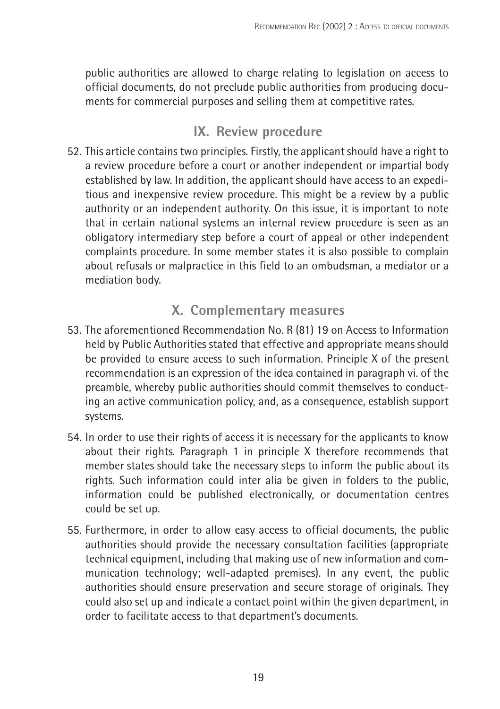public authorities are allowed to charge relating to legislation on access to official documents, do not preclude public authorities from producing documents for commercial purposes and selling them at competitive rates.

#### IX. Review procedure

52. This article contains two principles. Firstly, the applicant should have a right to a review procedure before a court or another independent or impartial body established by law. In addition, the applicant should have access to an expeditious and inexpensive review procedure. This might be a review by a public authority or an independent authority. On this issue, it is important to note that in certain national systems an internal review procedure is seen as an obligatory intermediary step before a court of appeal or other independent complaints procedure. In some member states it is also possible to complain about refusals or malpractice in this field to an ombudsman, a mediator or a mediation body.

#### X. Complementary measures

- 53. The aforementioned Recommendation No. R (81) 19 on Access to Information held by Public Authorities stated that effective and appropriate means should be provided to ensure access to such information. Principle X of the present recommendation is an expression of the idea contained in paragraph vi. of the preamble, whereby public authorities should commit themselves to conducting an active communication policy, and, as a consequence, establish support systems.
- 54. In order to use their rights of access it is necessary for the applicants to know about their rights. Paragraph 1 in principle X therefore recommends that member states should take the necessary steps to inform the public about its rights. Such information could inter alia be given in folders to the public, information could be published electronically, or documentation centres could be set up.
- 55. Furthermore, in order to allow easy access to official documents, the public authorities should provide the necessary consultation facilities (appropriate technical equipment, including that making use of new information and communication technology; well-adapted premises). In any event, the public authorities should ensure preservation and secure storage of originals. They could also set up and indicate a contact point within the given department, in order to facilitate access to that department's documents.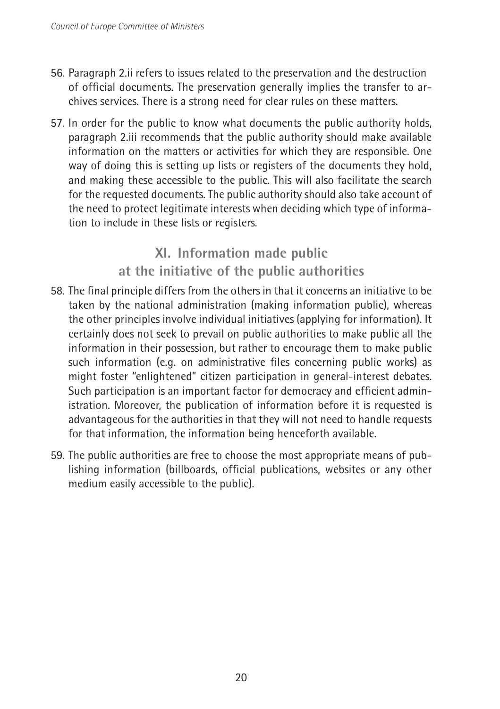- 56. Paragraph 2.ii refers to issues related to the preservation and the destruction of official documents. The preservation generally implies the transfer to archives services. There is a strong need for clear rules on these matters.
- 57. In order for the public to know what documents the public authority holds, paragraph 2.iii recommends that the public authority should make available information on the matters or activities for which they are responsible. One way of doing this is setting up lists or registers of the documents they hold. and making these accessible to the public. This will also facilitate the search for the requested documents. The public authority should also take account of the need to protect legitimate interests when deciding which type of information to include in these lists or registers.

#### XI. Information made public at the initiative of the public authorities

- 58. The final principle differs from the others in that it concerns an initiative to be taken by the national administration (making information public), whereas the other principles involve individual initiatives (applying for information). It certainly does not seek to prevail on public authorities to make public all the information in their possession, but rather to encourage them to make public such information (e.g. on administrative files concerning public works) as might foster "enlightened" citizen participation in general-interest debates. Such participation is an important factor for democracy and efficient administration. Moreover, the publication of information before it is requested is advantageous for the authorities in that they will not need to handle requests for that information, the information being henceforth available.
- 59. The public authorities are free to choose the most appropriate means of publishing information (billboards, official publications, websites or any other medium easily accessible to the public).